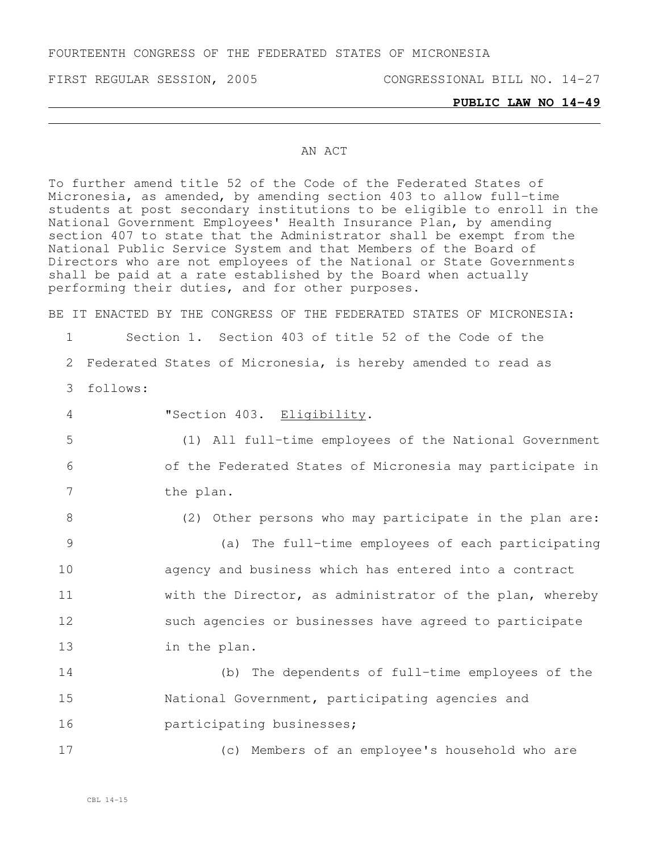FOURTEENTH CONGRESS OF THE FEDERATED STATES OF MICRONESIA

FIRST REGULAR SESSION, 2005 CONGRESSIONAL BILL NO. 14-27

#### **PUBLIC LAW NO 14-49**

## AN ACT

To further amend title 52 of the Code of the Federated States of Micronesia, as amended, by amending section 403 to allow full-time students at post secondary institutions to be eligible to enroll in the National Government Employees' Health Insurance Plan, by amending section 407 to state that the Administrator shall be exempt from the National Public Service System and that Members of the Board of Directors who are not employees of the National or State Governments shall be paid at a rate established by the Board when actually performing their duties, and for other purposes.

BE IT ENACTED BY THE CONGRESS OF THE FEDERATED STATES OF MICRONESIA:

1 Section 1. Section 403 of title 52 of the Code of the

2 Federated States of Micronesia, is hereby amended to read as

3 follows:

| $\overline{4}$ | "Section 403. Eligibility.                               |
|----------------|----------------------------------------------------------|
| 5              | (1) All full-time employees of the National Government   |
| 6              | of the Federated States of Micronesia may participate in |
| 7              | the plan.                                                |
| 8              | (2) Other persons who may participate in the plan are:   |
| 9              | (a) The full-time employees of each participating        |
| 10             | agency and business which has entered into a contract    |
| 11             | with the Director, as administrator of the plan, whereby |
| 12             | such agencies or businesses have agreed to participate   |
| 13             | in the plan.                                             |
| 14             | (b) The dependents of full-time employees of the         |
| 15             | National Government, participating agencies and          |
| 16             | participating businesses;                                |

17 (c) Members of an employee's household who are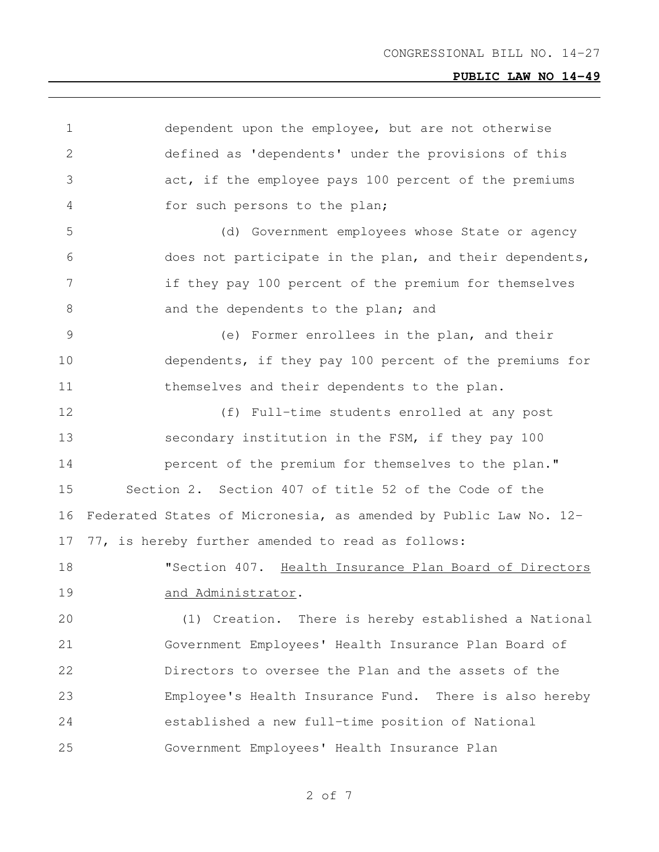dependent upon the employee, but are not otherwise defined as 'dependents' under the provisions of this act, if the employee pays 100 percent of the premiums for such persons to the plan; (d) Government employees whose State or agency does not participate in the plan, and their dependents, if they pay 100 percent of the premium for themselves 8 and the dependents to the plan; and (e) Former enrollees in the plan, and their dependents, if they pay 100 percent of the premiums for themselves and their dependents to the plan. (f) Full-time students enrolled at any post secondary institution in the FSM, if they pay 100 **percent of the premium for themselves to the plan."**  Section 2. Section 407 of title 52 of the Code of the Federated States of Micronesia, as amended by Public Law No. 12- 77, is hereby further amended to read as follows: "Section 407. Health Insurance Plan Board of Directors 19 and Administrator. (1) Creation. There is hereby established a National Government Employees' Health Insurance Plan Board of Directors to oversee the Plan and the assets of the Employee's Health Insurance Fund. There is also hereby established a new full-time position of National Government Employees' Health Insurance Plan

of 7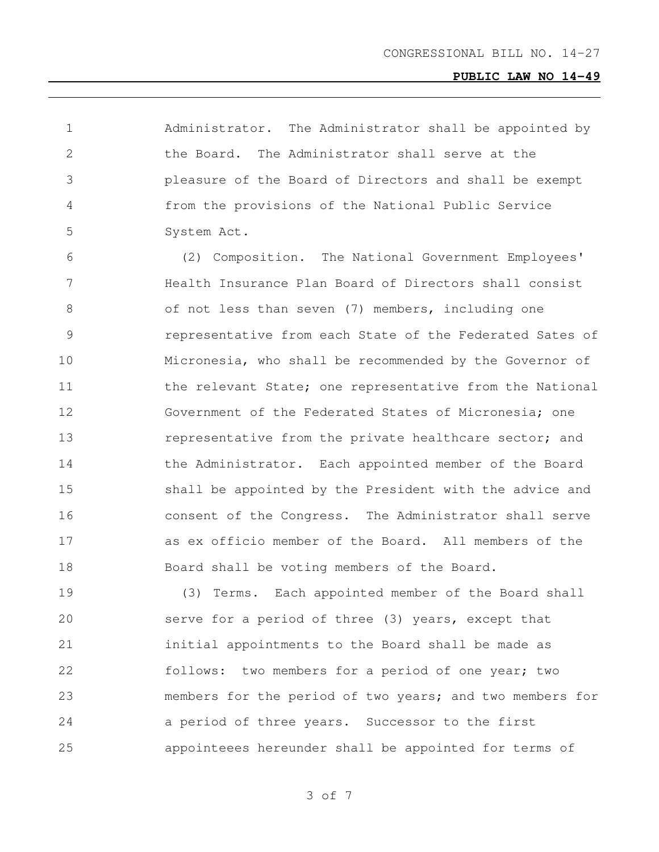Administrator. The Administrator shall be appointed by the Board. The Administrator shall serve at the pleasure of the Board of Directors and shall be exempt from the provisions of the National Public Service System Act.

 (2) Composition. The National Government Employees' Health Insurance Plan Board of Directors shall consist of not less than seven (7) members, including one representative from each State of the Federated Sates of Micronesia, who shall be recommended by the Governor of 11 the relevant State; one representative from the National Government of the Federated States of Micronesia; one 13 representative from the private healthcare sector; and 14 the Administrator. Each appointed member of the Board shall be appointed by the President with the advice and consent of the Congress. The Administrator shall serve as ex officio member of the Board. All members of the Board shall be voting members of the Board.

 (3) Terms. Each appointed member of the Board shall serve for a period of three (3) years, except that initial appointments to the Board shall be made as follows: two members for a period of one year; two members for the period of two years; and two members for a period of three years. Successor to the first appointeees hereunder shall be appointed for terms of

of 7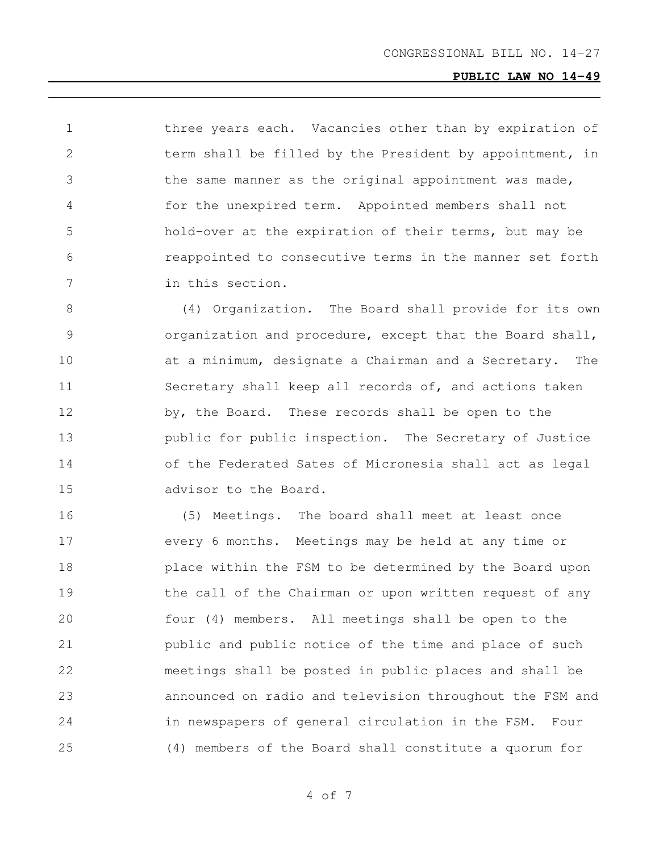1 three years each. Vacancies other than by expiration of term shall be filled by the President by appointment, in the same manner as the original appointment was made, for the unexpired term. Appointed members shall not hold-over at the expiration of their terms, but may be reappointed to consecutive terms in the manner set forth in this section.

 (4) Organization. The Board shall provide for its own organization and procedure, except that the Board shall, at a minimum, designate a Chairman and a Secretary. The Secretary shall keep all records of, and actions taken by, the Board. These records shall be open to the public for public inspection. The Secretary of Justice of the Federated Sates of Micronesia shall act as legal advisor to the Board.

 (5) Meetings. The board shall meet at least once every 6 months. Meetings may be held at any time or place within the FSM to be determined by the Board upon 19 the call of the Chairman or upon written request of any four (4) members. All meetings shall be open to the public and public notice of the time and place of such meetings shall be posted in public places and shall be announced on radio and television throughout the FSM and in newspapers of general circulation in the FSM. Four (4) members of the Board shall constitute a quorum for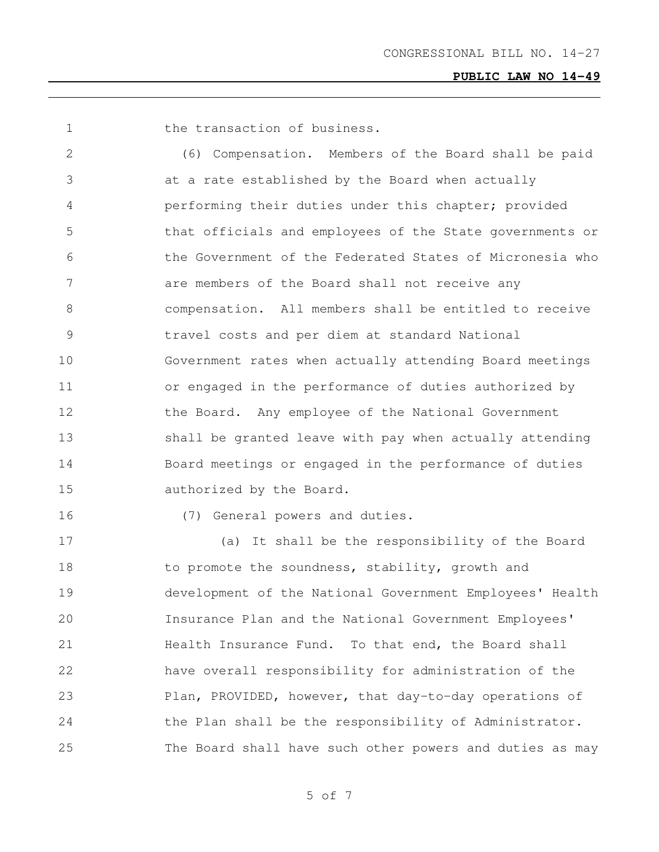1 the transaction of business.

 (6) Compensation. Members of the Board shall be paid at a rate established by the Board when actually performing their duties under this chapter; provided that officials and employees of the State governments or the Government of the Federated States of Micronesia who are members of the Board shall not receive any compensation. All members shall be entitled to receive travel costs and per diem at standard National Government rates when actually attending Board meetings or engaged in the performance of duties authorized by 12 the Board. Any employee of the National Government shall be granted leave with pay when actually attending Board meetings or engaged in the performance of duties authorized by the Board.

(7) General powers and duties.

 (a) It shall be the responsibility of the Board 18 to promote the soundness, stability, growth and development of the National Government Employees' Health Insurance Plan and the National Government Employees' 21 Health Insurance Fund. To that end, the Board shall have overall responsibility for administration of the 23 Plan, PROVIDED, however, that day-to-day operations of 24 the Plan shall be the responsibility of Administrator. The Board shall have such other powers and duties as may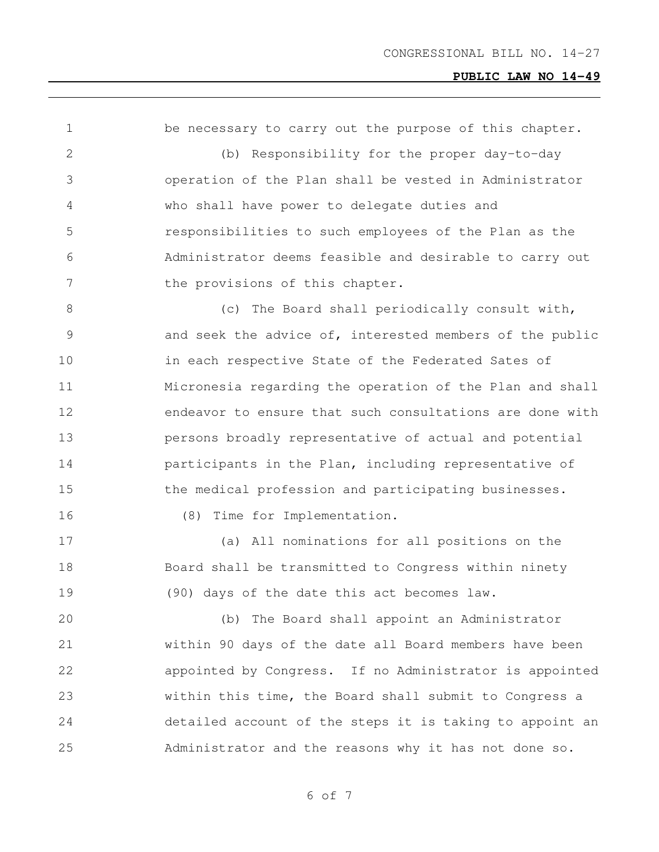1 be necessary to carry out the purpose of this chapter. (b) Responsibility for the proper day-to-day operation of the Plan shall be vested in Administrator who shall have power to delegate duties and responsibilities to such employees of the Plan as the Administrator deems feasible and desirable to carry out 7 the provisions of this chapter. 8 (c) The Board shall periodically consult with, 9 3 3 and seek the advice of, interested members of the public in each respective State of the Federated Sates of Micronesia regarding the operation of the Plan and shall endeavor to ensure that such consultations are done with persons broadly representative of actual and potential participants in the Plan, including representative of 15 the medical profession and participating businesses. (8) Time for Implementation. (a) All nominations for all positions on the Board shall be transmitted to Congress within ninety (90) days of the date this act becomes law. (b) The Board shall appoint an Administrator within 90 days of the date all Board members have been appointed by Congress. If no Administrator is appointed within this time, the Board shall submit to Congress a detailed account of the steps it is taking to appoint an Administrator and the reasons why it has not done so.

of 7